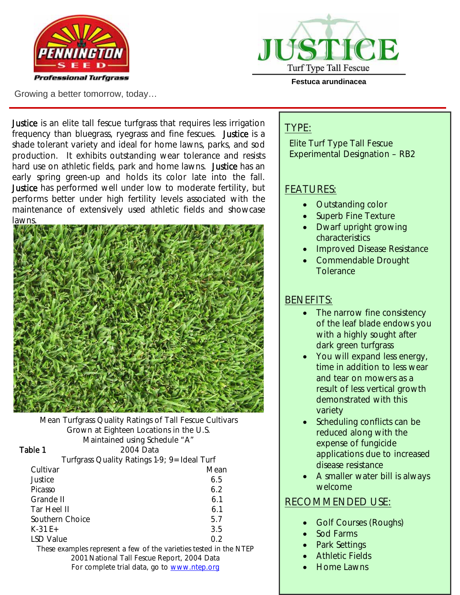



Growing a better tomorrow, today…

**Festuca arundinacea** 

Justice is an elite tall fescue turfgrass that requires less irrigation frequency than bluegrass, ryegrass and fine fescues. Justice is a shade tolerant variety and ideal for home lawns, parks, and sod production. It exhibits outstanding wear tolerance and resists hard use on athletic fields, park and home lawns. Justice has an early spring green-up and holds its color late into the fall. Justice has performed well under low to moderate fertility, but performs better under high fertility levels associated with the maintenance of extensively used athletic fields and showcase **lawns** 



Mean Turfgrass Quality Ratings of Tall Fescue Cultivars Grown at Eighteen Locations in the U.S. Maintained using Schedule "A" Table 1 2004 Data Turfgrass Quality Ratings 1-9; 9=Ideal Turf Cultivar Mean

| Justice                                                                                                                       | 6.5 |
|-------------------------------------------------------------------------------------------------------------------------------|-----|
| Picasso                                                                                                                       | 6.2 |
| Grande II                                                                                                                     | 6.1 |
| Tar Heel II                                                                                                                   | 6.1 |
| Southern Choice                                                                                                               | 5.7 |
| $K-31E+$                                                                                                                      | 3.5 |
| <b>LSD Value</b>                                                                                                              | 02  |
| $\boldsymbol{\tau}$ is a composition of the component of $\boldsymbol{\ell}$ . The composition of the component of the subset |     |

These examples represent a few of the varieties tested in the NTEP 2001 National Tall Fescue Report, 2004 Data For complete trial data, go to www.ntep.org

## TYPE:

Elite Turf Type Tall Fescue Experimental Designation – RB2

# FEATURES:

- Outstanding color
- Superb Fine Texture
- Dwarf upright growing characteristics
- Improved Disease Resistance
- Commendable Drought **Tolerance**

# BENEFITS:

- The narrow fine consistency of the leaf blade endows you with a highly sought after dark green turfgrass
- You will expand less energy, time in addition to less wear and tear on mowers as a result of less vertical growth demonstrated with this variety
- Scheduling conflicts can be reduced along with the expense of fungicide applications due to increased disease resistance
- A smaller water bill is always welcome

# RECOMMENDED USE:

- Golf Courses (Roughs)
- Sod Farms
- Park Settings
- **Athletic Fields**
- Home Lawns